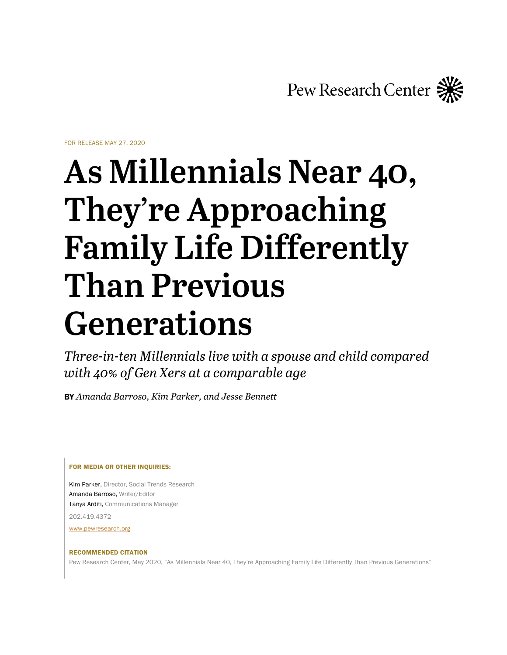Pew Research Center

FOR RELEASE MAY 27, 2020

# **As Millennials Near 40, They're Approaching Family Life Differently Than Previous Generations**

*Three-in-ten Millennials live with a spouse and child compared with 40% of Gen Xers at a comparable age*

BY *Amanda Barroso, Kim Parker, and Jesse Bennett* 

FOR MEDIA OR OTHER INQUIRIES:

Kim Parker, Director, Social Trends Research Amanda Barroso, Writer/Editor Tanya Arditi, Communications Manager

202.419.4372

[www.pewresearch.org](http://www.pewresearch.org/)

#### RECOMMENDED CITATION

Pew Research Center, May 2020, "As Millennials Near 40, They're Approaching Family Life Differently Than Previous Generations"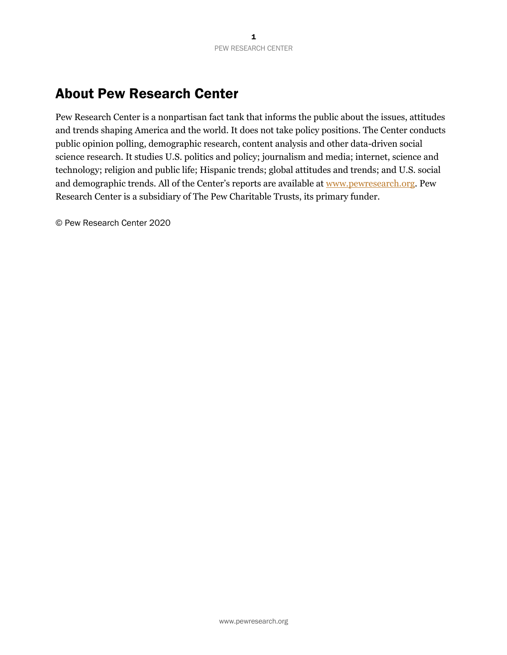# About Pew Research Center

Pew Research Center is a nonpartisan fact tank that informs the public about the issues, attitudes and trends shaping America and the world. It does not take policy positions. The Center conducts public opinion polling, demographic research, content analysis and other data-driven social science research. It studies U.S. politics and policy; journalism and media; internet, science and technology; religion and public life; Hispanic trends; global attitudes and trends; and U.S. social and demographic trends. All of the Center's reports are available at [www.pewresearch.org](http://www.pewresearch.org/). Pew Research Center is a subsidiary of The Pew Charitable Trusts, its primary funder.

© Pew Research Center 2020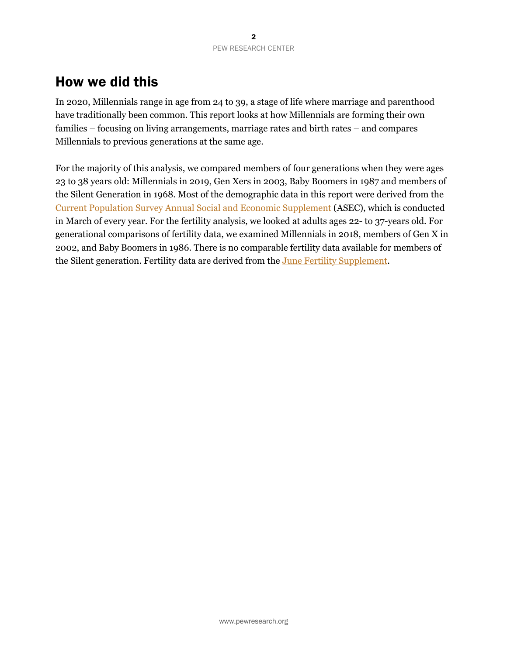# How we did this

In 2020, Millennials range in age from 24 to 39, a stage of life where marriage and parenthood have traditionally been common. This report looks at how Millennials are forming their own families – focusing on living arrangements, marriage rates and birth rates – and compares Millennials to previous generations at the same age.

For the majority of this analysis, we compared members of four generations when they were ages 23 to 38 years old: Millennials in 2019, Gen Xers in 2003, Baby Boomers in 1987 and members of the Silent Generation in 1968. Most of the demographic data in this report were derived from the [Current Population Survey Annual Social and Economic Supplement](https://www.census.gov/programs-surveys/cps.html) (ASEC), which is conducted in March of every year. For the fertility analysis, we looked at adults ages 22- to 37-years old. For generational comparisons of fertility data, we examined Millennials in 2018, members of Gen X in 2002, and Baby Boomers in 1986. There is no comparable fertility data available for members of the Silent generation. Fertility data are derived from the [June Fertility Supplement.](https://cps.ipums.org/cps/fertility_sample_notes.shtml)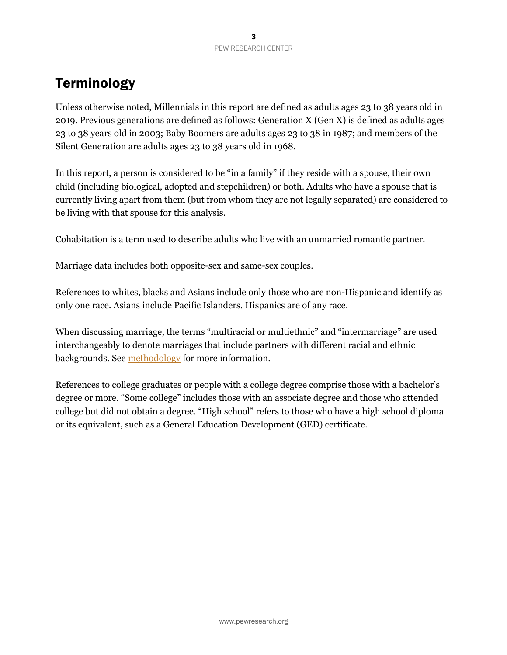# **Terminology**

Unless otherwise noted, Millennials in this report are defined as adults ages 23 to 38 years old in 2019. Previous generations are defined as follows: Generation X (Gen X) is defined as adults ages 23 to 38 years old in 2003; Baby Boomers are adults ages 23 to 38 in 1987; and members of the Silent Generation are adults ages 23 to 38 years old in 1968.

In this report, a person is considered to be "in a family" if they reside with a spouse, their own child (including biological, adopted and stepchildren) or both. Adults who have a spouse that is currently living apart from them (but from whom they are not legally separated) are considered to be living with that spouse for this analysis.

Cohabitation is a term used to describe adults who live with an unmarried romantic partner.

Marriage data includes both opposite-sex and same-sex couples.

References to whites, blacks and Asians include only those who are non-Hispanic and identify as only one race. Asians include Pacific Islanders. Hispanics are of any race.

When discussing marriage, the terms "multiracial or multiethnic" and "intermarriage" are used interchangeably to denote marriages that include partners with different racial and ethnic backgrounds. See [methodology](https://www.pewsocialtrends.org/2020/05/27/methodology-33) for more information.

References to college graduates or people with a college degree comprise those with a bachelor's degree or more. "Some college" includes those with an associate degree and those who attended college but did not obtain a degree. "High school" refers to those who have a high school diploma or its equivalent, such as a General Education Development (GED) certificate.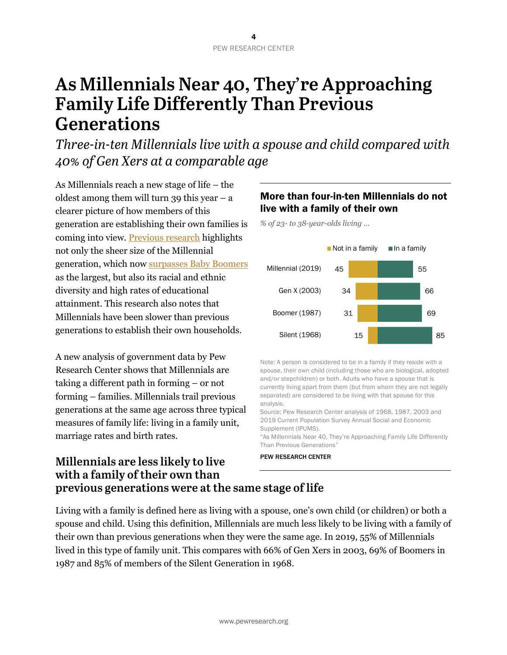# **As Millennials Near 40, They're Approaching Family Life Differently Than Previous Generations**

*Three-in-ten Millennials live with a spouse and child compared with 40% of Gen Xers at a comparable age*

As Millennials reach a new stage of life – the oldest among them will turn 39 this year  $-$  a clearer picture of how members of this generation are establishing their own families is coming into view. [Previous research](https://www.pewsocialtrends.org/essay/millennial-life-how-young-adulthood-today-compares-with-prior-generations/) highlights not only the sheer size of the Millennial generation, which now surpasses [Baby Boomers](https://www.pewresearch.org/fact-tank/2020/04/28/millennials-overtake-baby-boomers-as-americas-largest-generation/) as the largest, but also its racial and ethnic diversity and high rates of educational attainment. This research also notes that Millennials have been slower than previous generations to establish their own households.

A new analysis of government data by Pew Research Center shows that Millennials are taking a different path in forming – or not forming – families. Millennials trail previous generations at the same age across three typical measures of family life: living in a family unit, marriage rates and birth rates.

## More than four-in-ten Millennials do not live with a family of their own

*% of 23- to 38-year-olds living …*



Note: A person is considered to be in a family if they reside with a spouse, their own child (including those who are biological, adopted and/or stepchildren) or both. Adults who have a spouse that is currently living apart from them (but from whom they are not legally separated) are considered to be living with that spouse for this analysis.

Source: Pew Research Center analysis of 1968, 1987, 2003 and 2019 Current Population Survey Annual Social and Economic Supplement (IPUMS).

"As Millennials Near 40, They're Approaching Family Life Differently Than Previous Generations"

PEW RESEARCH CENTER

## **Millennials are less likely to live with a family of their own than previous generations were at the same stage of life**

Living with a family is defined here as living with a spouse, one's own child (or children) or both a spouse and child. Using this definition, Millennials are much less likely to be living with a family of their own than previous generations when they were the same age. In 2019, 55% of Millennials lived in this type of family unit. This compares with 66% of Gen Xers in 2003, 69% of Boomers in 1987 and 85% of members of the Silent Generation in 1968.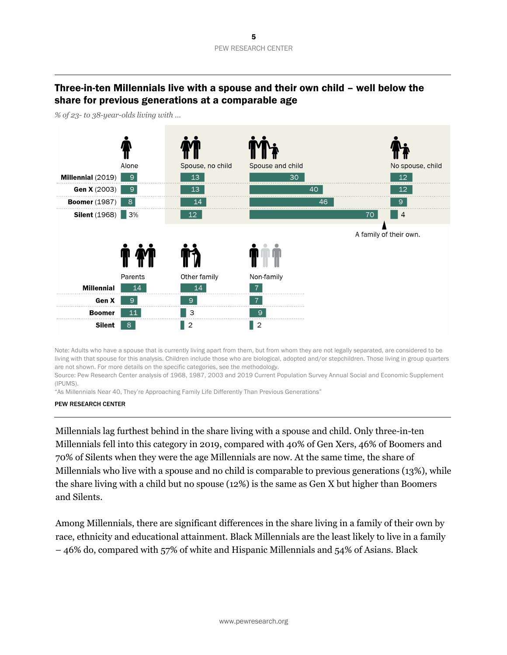## Three-in-ten Millennials live with a spouse and their own child – well below the share for previous generations at a comparable age



*% of 23- to 38-year-olds living with …*

Note: Adults who have a spouse that is currently living apart from them, but from whom they are not legally separated, are considered to be living with that spouse for this analysis. Children include those who are biological, adopted and/or stepchildren. Those living in group quarters are not shown. For more details on the specific categories, see the methodology.

Source: Pew Research Center analysis of 1968, 1987, 2003 and 2019 Current Population Survey Annual Social and Economic Supplement (IPUMS).

"As Millennials Near 40, They're Approaching Family Life Differently Than Previous Generations"

#### PEW RESEARCH CENTER

Millennials lag furthest behind in the share living with a spouse and child. Only three-in-ten Millennials fell into this category in 2019, compared with 40% of Gen Xers, 46% of Boomers and 70% of Silents when they were the age Millennials are now. At the same time, the share of Millennials who live with a spouse and no child is comparable to previous generations (13%), while the share living with a child but no spouse (12%) is the same as Gen X but higher than Boomers and Silents.

Among Millennials, there are significant differences in the share living in a family of their own by race, ethnicity and educational attainment. Black Millennials are the least likely to live in a family – 46% do, compared with 57% of white and Hispanic Millennials and 54% of Asians. Black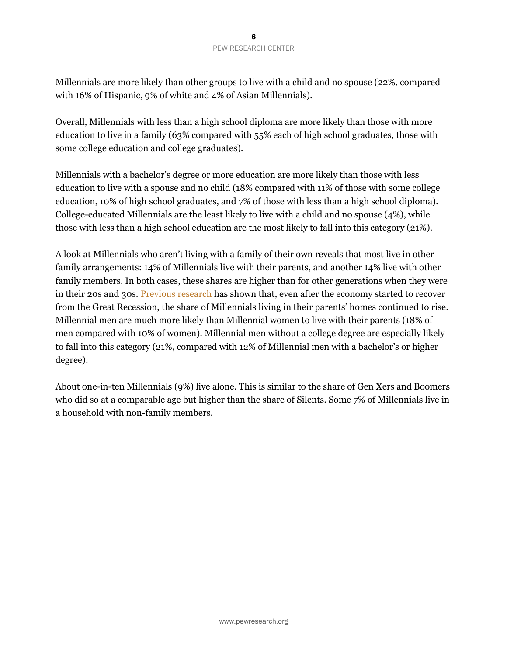#### 6 PEW RESEARCH CENTER

Millennials are more likely than other groups to live with a child and no spouse (22%, compared with 16% of Hispanic, 9% of white and 4% of Asian Millennials).

Overall, Millennials with less than a high school diploma are more likely than those with more education to live in a family (63% compared with 55% each of high school graduates, those with some college education and college graduates).

Millennials with a bachelor's degree or more education are more likely than those with less education to live with a spouse and no child (18% compared with 11% of those with some college education, 10% of high school graduates, and 7% of those with less than a high school diploma). College-educated Millennials are the least likely to live with a child and no spouse (4%), while those with less than a high school education are the most likely to fall into this category (21%).

A look at Millennials who aren't living with a family of their own reveals that most live in other family arrangements: 14% of Millennials live with their parents, and another 14% live with other family members. In both cases, these shares are higher than for other generations when they were in their 20s and 30s. [Previous research](https://www.pewsocialtrends.org/2015/07/29/more-millennials-living-with-family-despite-improved-job-market/) has shown that, even after the economy started to recover from the Great Recession, the share of Millennials living in their parents' homes continued to rise. Millennial men are much more likely than Millennial women to live with their parents (18% of men compared with 10% of women). Millennial men without a college degree are especially likely to fall into this category (21%, compared with 12% of Millennial men with a bachelor's or higher degree).

About one-in-ten Millennials (9%) live alone. This is similar to the share of Gen Xers and Boomers who did so at a comparable age but higher than the share of Silents. Some 7% of Millennials live in a household with non-family members.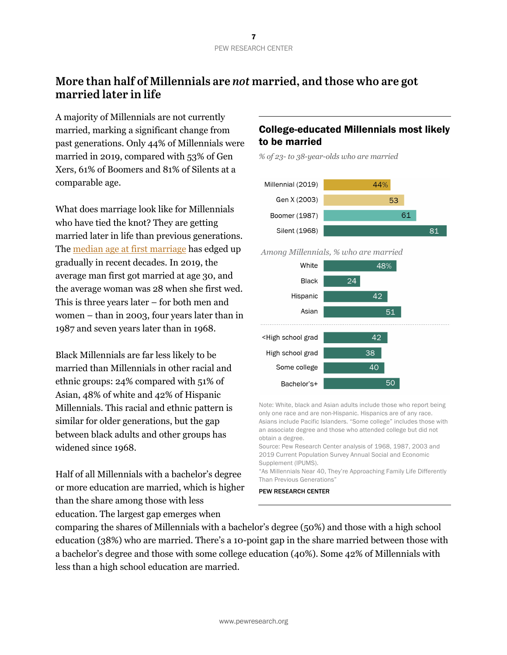# **More than half of Millennials are** *not* **married, and those who are got married later in life**

A majority of Millennials are not currently married, marking a significant change from past generations. Only 44% of Millennials were married in 2019, compared with 53% of Gen Xers, 61% of Boomers and 81% of Silents at a comparable age.

What does marriage look like for Millennials who have tied the knot? They are getting married later in life than previous generations. The <u>median age at first marriage</u> has edged up gradually in recent decades. In 2019, the average man first got married at age 30, and the average woman was 28 when she first wed. This is three years later – for both men and women – than in 2003, four years later than in 1987 and seven years later than in 1968.

Black Millennials are far less likely to be married than Millennials in other racial and ethnic groups: 24% compared with 51% of Asian, 48% of white and 42% of Hispanic Millennials. This racial and ethnic pattern is similar for older generations, but the gap between black adults and other groups has widened since 1968.

Half of all Millennials with a bachelor's degree or more education are married, which is higher than the share among those with less education. The largest gap emerges when

## College-educated Millennials most likely to be married

*% of 23- to 38-year-olds who are married*



Among Millennials, % who are married



Note: White, black and Asian adults include those who report being only one race and are non-Hispanic. Hispanics are of any race. Asians include Pacific Islanders. "Some college" includes those with an associate degree and those who attended college but did not obtain a degree.

Source: Pew Research Center analysis of 1968, 1987, 2003 and 2019 Current Population Survey Annual Social and Economic Supplement (IPUMS).

"As Millennials Near 40, They're Approaching Family Life Differently Than Previous Generations"

#### PEW RESEARCH CENTER

comparing the shares of Millennials with a bachelor's degree (50%) and those with a high school education (38%) who are married. There's a 10-point gap in the share married between those with a bachelor's degree and those with some college education (40%). Some 42% of Millennials with less than a high school education are married.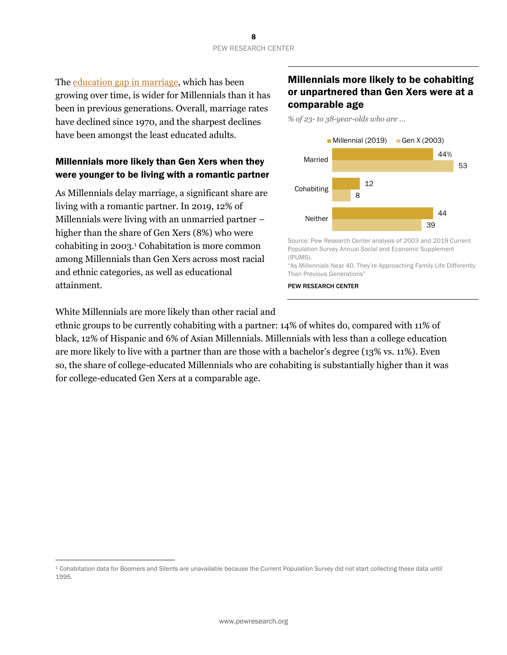The [education gap in marriage](https://www.pewresearch.org/fact-tank/2017/09/14/as-u-s-marriage-rate-hovers-at-50-education-gap-in-marital-status-widens/), which has been growing over time, is wider for Millennials than it has been in previous generations. Overall, marriage rates have declined since 1970, and the sharpest declines have been amongst the least educated adults.

#### Millennials more likely than Gen Xers when they were younger to be living with a romantic partner

As Millennials delay marriage, a significant share are living with a romantic partner. In 2019, 12% of Millennials were living with an unmarried partner – higher than the share of Gen Xers (8%) who were cohabiting in 2003.1 Cohabitation is more common among Millennials than Gen Xers across most racial and ethnic categories, as well as educational attainment.

White Millennials are more likely than other racial and

for college-educated Gen Xers at a comparable age.

### Millennials more likely to be cohabiting or unpartnered than Gen Xers were at a comparable age

*% of 23- to 38-year-olds who are …*



Source: Pew Research Center analysis of 2003 and 2019 Current Population Survey Annual Social and Economic Supplement (IPUMS).

"As Millennials Near 40, They're Approaching Family Life Differently Than Previous Generations"

PEW RESEARCH CENTER

<sup>1</sup> Cohabitation data for Boomers and Silents are unavailable because the Current Population Survey did not start collecting these data until 1995.

ethnic groups to be currently cohabiting with a partner: 14% of whites do, compared with 11% of black, 12% of Hispanic and 6% of Asian Millennials. Millennials with less than a college education are more likely to live with a partner than are those with a bachelor's degree (13% vs. 11%). Even so, the share of college-educated Millennials who are cohabiting is substantially higher than it was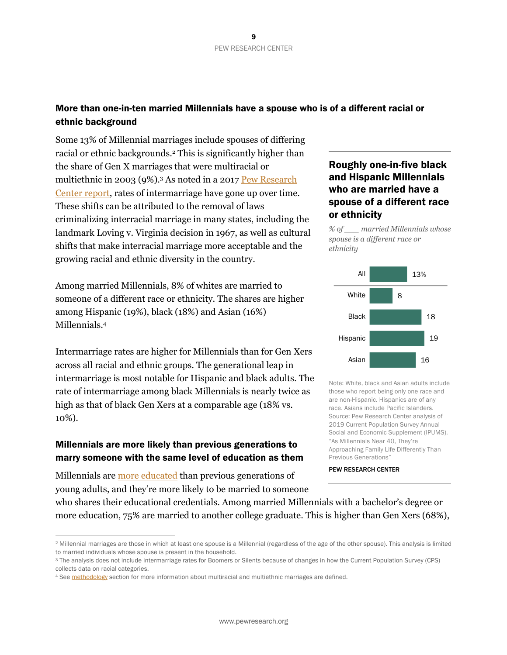### More than one-in-ten married Millennials have a spouse who is of a different racial or ethnic background

Some 13% of Millennial marriages include spouses of differing racial or ethnic backgrounds.2 This is significantly higher than the share of Gen X marriages that were multiracial or multiethnic in 2003 (9%).3 As noted in a 2017 [Pew Research](https://www.pewsocialtrends.org/2017/05/18/intermarriage-in-the-u-s-50-years-after-loving-v-virginia/) [Center report](https://www.pewsocialtrends.org/2017/05/18/intermarriage-in-the-u-s-50-years-after-loving-v-virginia/), rates of intermarriage have gone up over time. These shifts can be attributed to the removal of laws criminalizing interracial marriage in many states, including the landmark Loving v. Virginia decision in 1967, as well as cultural shifts that make interracial marriage more acceptable and the growing racial and ethnic diversity in the country.

Among married Millennials, 8% of whites are married to someone of a different race or ethnicity. The shares are higher among Hispanic (19%), black (18%) and Asian (16%) Millennials.4

Intermarriage rates are higher for Millennials than for Gen Xers across all racial and ethnic groups. The generational leap in intermarriage is most notable for Hispanic and black adults. The rate of intermarriage among black Millennials is nearly twice as high as that of black Gen Xers at a comparable age (18% vs. 10%).

#### Millennials are more likely than previous generations to marry someone with the same level of education as them

Millennials are [more educated](https://www.pewsocialtrends.org/essay/millennial-life-how-young-adulthood-today-compares-with-prior-generations/) than previous generations of young adults, and they're more likely to be married to someone

## Roughly one-in-five black and Hispanic Millennials who are married have a spouse of a different race or ethnicity

*% of \_\_\_ married Millennials whose spouse is a different race or ethnicity*



Note: White, black and Asian adults include those who report being only one race and are non-Hispanic. Hispanics are of any race. Asians include Pacific Islanders. Source: Pew Research Center analysis of 2019 Current Population Survey Annual Social and Economic Supplement (IPUMS). "As Millennials Near 40, They're Approaching Family Life Differently Than Previous Generations"

#### PEW RESEARCH CENTER

who shares their educational credentials. Among married Millennials with a bachelor's degree or more education, 75% are married to another college graduate. This is higher than Gen Xers (68%),

<sup>2</sup> Millennial marriages are those in which at least one spouse is a Millennial (regardless of the age of the other spouse). This analysis is limited to married individuals whose spouse is present in the household.

<sup>3</sup> The analysis does not include intermarriage rates for Boomers or Silents because of changes in how the Current Population Survey (CPS) collects data on racial categories.

<sup>4</sup> See methodology section for more information about multiracial and multiethnic marriages are defined.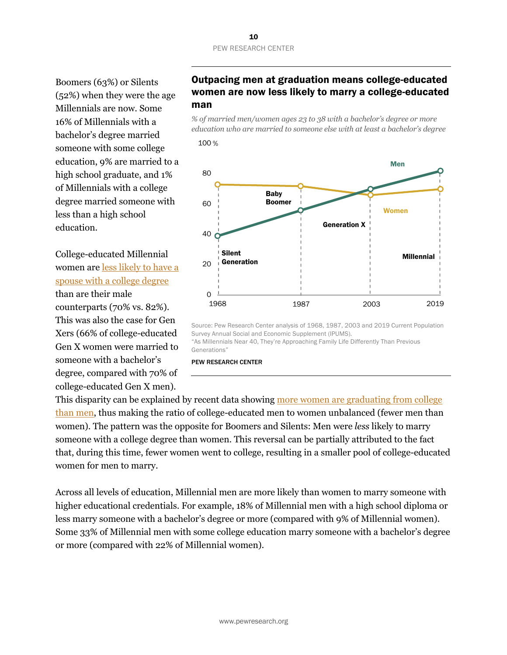Boomers (63%) or Silents (52%) when they were the age Millennials are now. Some 16% of Millennials with a bachelor's degree married someone with some college education, 9% are married to a high school graduate, and 1% of Millennials with a college degree married someone with less than a high school education.

College-educated Millennial women are [less likely to have a](https://commons.wikimannia.org/images/Elaina_Rose_-_Education_and_Hypergamy_in_Marriage_Markets.pdf) [spouse with a college degree](https://commons.wikimannia.org/images/Elaina_Rose_-_Education_and_Hypergamy_in_Marriage_Markets.pdf) than are their male counterparts (70% vs. 82%). This was also the case for Gen Xers (66% of college-educated Gen X women were married to someone with a bachelor's degree, compared with 70% of college-educated Gen X men).

## Outpacing men at graduation means college-educated women are now less likely to marry a college-educated man

*% of married men/women ages 23 to 38 with a bachelor's degree or more education who are married to someone else with at least a bachelor's degree*



Source: Pew Research Center analysis of 1968, 1987, 2003 and 2019 Current Population Survey Annual Social and Economic Supplement (IPUMS). "As Millennials Near 40, They're Approaching Family Life Differently Than Previous

Generations"

PEW RESEARCH CENTER

This disparity can be explained by recent data showing [more women are graduating from college](https://www.pewsocialtrends.org/2010/01/19/women-men-and-the-new-economics-of-marriage/) [than men](https://www.pewsocialtrends.org/2010/01/19/women-men-and-the-new-economics-of-marriage/), thus making the ratio of college-educated men to women unbalanced (fewer men than women). The pattern was the opposite for Boomers and Silents: Men were *less* likely to marry someone with a college degree than women. This reversal can be partially attributed to the fact that, during this time, fewer women went to college, resulting in a smaller pool of college-educated women for men to marry.

Across all levels of education, Millennial men are more likely than women to marry someone with higher educational credentials. For example, 18% of Millennial men with a high school diploma or less marry someone with a bachelor's degree or more (compared with 9% of Millennial women). Some 33% of Millennial men with some college education marry someone with a bachelor's degree or more (compared with 22% of Millennial women).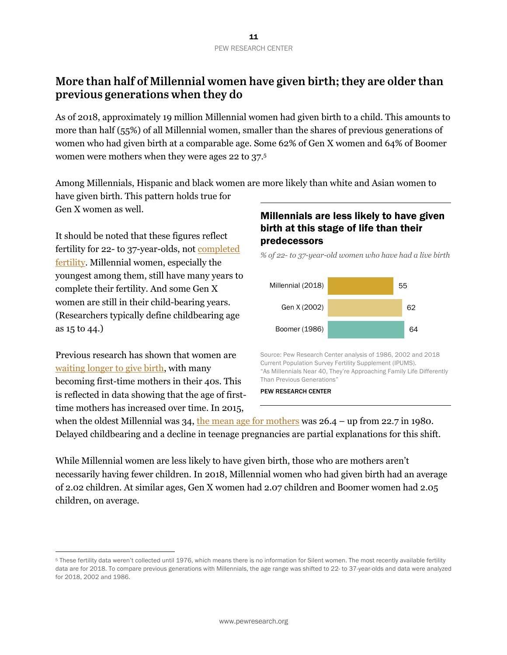# **More than half of Millennial women have given birth; they are older than previous generations when they do**

As of 2018, approximately 19 million Millennial women had given birth to a child. This amounts to more than half (55%) of all Millennial women, smaller than the shares of previous generations of women who had given birth at a comparable age. Some 62% of Gen X women and 64% of Boomer women were mothers when they were ages 22 to 37.5

Among Millennials, Hispanic and black women are more likely than white and Asian women to have given birth. This pattern holds true for Gen X women as well.

It should be noted that these figures reflect fertility for 22- to 37-year-olds, not [completed](https://www.pewresearch.org/fact-tank/2019/05/22/u-s-fertility-rate-explained/) [fertility](https://www.pewresearch.org/fact-tank/2019/05/22/u-s-fertility-rate-explained/). Millennial women, especially the youngest among them, still have many years to complete their fertility. And some Gen X women are still in their child-bearing years. (Researchers typically define childbearing age as 15 to 44.)

Previous research has shown that women are [waiting longer to give birth](https://www.pewsocialtrends.org/2018/01/18/theyre-waiting-longer-but-u-s-women-today-more-likely-to-have-children-than-a-decade-ago/), with many becoming first-time mothers in their 40s. This is reflected in data showing that the age of firsttime mothers has increased over time. In 2015,

#### Millennials are less likely to have given birth at this stage of life than their predecessors

*% of 22- to 37-year-old women who have had a live birth*



Source: Pew Research Center analysis of 1986, 2002 and 2018 Current Population Survey Fertility Supplement (IPUMS). "As Millennials Near 40, They're Approaching Family Life Differently Than Previous Generations"

#### PEW RESEARCH CENTER

when the oldest Millennial was 34, [the mean age for mothers](https://www.cdc.gov/nchs/data/nvsr/nvsr66/nvsr66_01_tables.pdf) was 26.4 – up from 22.7 in 1980. Delayed childbearing and a decline in teenage pregnancies are partial explanations for this shift.

While Millennial women are less likely to have given birth, those who are mothers aren't necessarily having fewer children. In 2018, Millennial women who had given birth had an average of 2.02 children. At similar ages, Gen X women had 2.07 children and Boomer women had 2.05 children, on average.

<sup>5</sup> These fertility data weren't collected until 1976, which means there is no information for Silent women. The most recently available fertility data are for 2018. To compare previous generations with Millennials, the age range was shifted to 22- to 37-year-olds and data were analyzed for 2018, 2002 and 1986.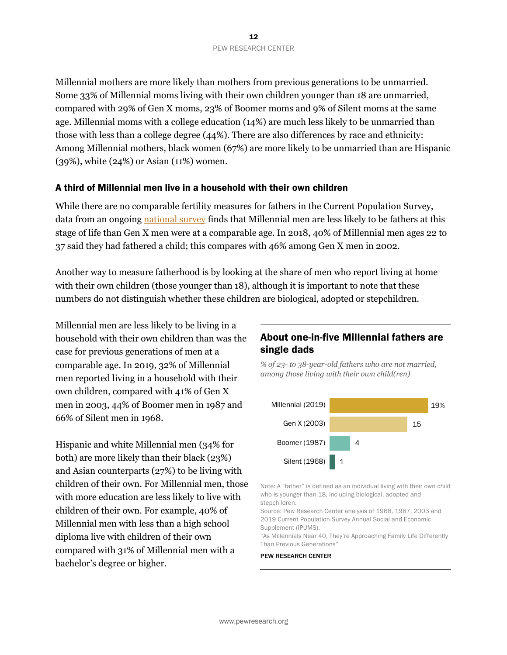Millennial mothers are more likely than mothers from previous generations to be unmarried. Some 33% of Millennial moms living with their own children younger than 18 are unmarried, compared with 29% of Gen X moms, 23% of Boomer moms and 9% of Silent moms at the same age. Millennial moms with a college education (14%) are much less likely to be unmarried than those with less than a college degree (44%). There are also differences by race and ethnicity: Among Millennial mothers, black women (67%) are more likely to be unmarried than are Hispanic (39%), white (24%) or Asian (11%) women.

#### A third of Millennial men live in a household with their own children

While there are no comparable fertility measures for fathers in the Current Population Survey, data from an ongoing [national survey](https://gss.norc.org/) finds that Millennial men are less likely to be fathers at this stage of life than Gen X men were at a comparable age. In 2018, 40% of Millennial men ages 22 to 37 said they had fathered a child; this compares with 46% among Gen X men in 2002.

Another way to measure fatherhood is by looking at the share of men who report living at home with their own children (those younger than 18), although it is important to note that these numbers do not distinguish whether these children are biological, adopted or stepchildren.

Millennial men are less likely to be living in a household with their own children than was the case for previous generations of men at a comparable age. In 2019, 32% of Millennial men reported living in a household with their own children, compared with 41% of Gen X men in 2003, 44% of Boomer men in 1987 and 66% of Silent men in 1968.

Hispanic and white Millennial men (34% for both) are more likely than their black (23%) and Asian counterparts (27%) to be living with children of their own. For Millennial men, those with more education are less likely to live with children of their own. For example, 40% of Millennial men with less than a high school diploma live with children of their own compared with 31% of Millennial men with a bachelor's degree or higher.

### About one-in-five Millennial fathers are single dads

*% of 23- to 38-year-old fathers who are not married, among those living with their own child(ren)*



Note: A "father" is defined as an individual living with their own child who is younger than 18, including biological, adopted and stepchildren.

Source: Pew Research Center analysis of 1968, 1987, 2003 and 2019 Current Population Survey Annual Social and Economic Supplement (IPUMS).

"As Millennials Near 40, They're Approaching Family Life Differently Than Previous Generations"

#### PEW RESEARCH CENTER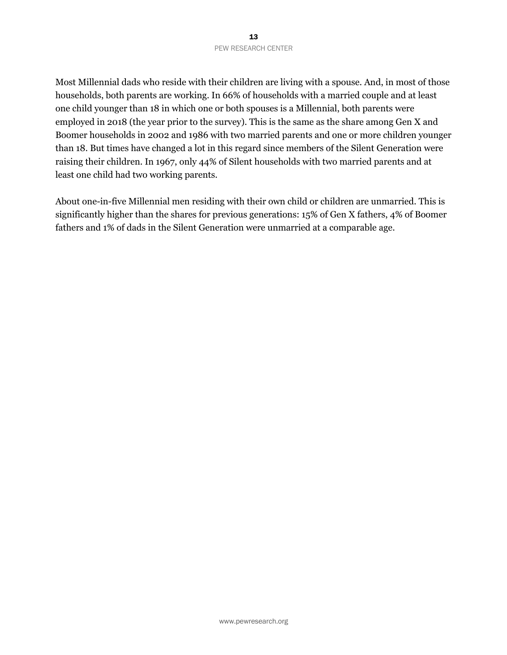Most Millennial dads who reside with their children are living with a spouse. And, in most of those households, both parents are working. In 66% of households with a married couple and at least one child younger than 18 in which one or both spouses is a Millennial, both parents were employed in 2018 (the year prior to the survey). This is the same as the share among Gen X and Boomer households in 2002 and 1986 with two married parents and one or more children younger than 18. But times have changed a lot in this regard since members of the Silent Generation were raising their children. In 1967, only 44% of Silent households with two married parents and at least one child had two working parents.

About one-in-five Millennial men residing with their own child or children are unmarried. This is significantly higher than the shares for previous generations: 15% of Gen X fathers, 4% of Boomer fathers and 1% of dads in the Silent Generation were unmarried at a comparable age.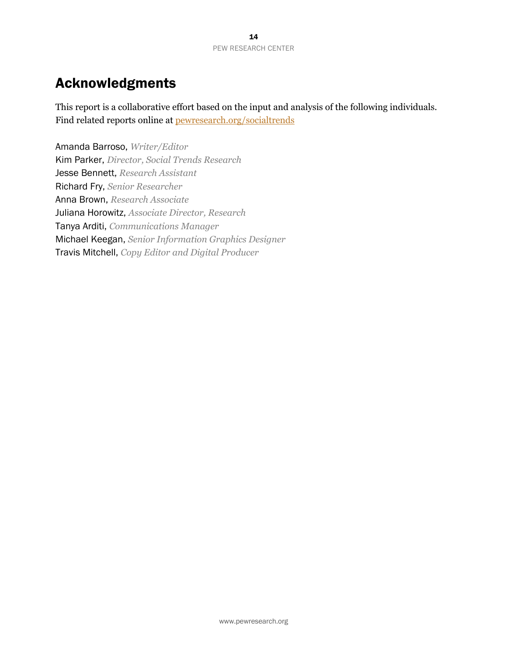# Acknowledgments

This report is a collaborative effort based on the input and analysis of the following individuals. Find related reports online at [pewresearch.org/socialtrends](https://www.pewsocialtrends.org/)

Amanda Barroso, *Writer/Editor* Kim Parker, *Director, Social Trends Research* Jesse Bennett, *Research Assistant* Richard Fry, *Senior Researcher* Anna Brown, *Research Associate* Juliana Horowitz, *Associate Director, Research* Tanya Arditi, *Communications Manager* Michael Keegan, *Senior Information Graphics Designer* Travis Mitchell, *Copy Editor and Digital Producer*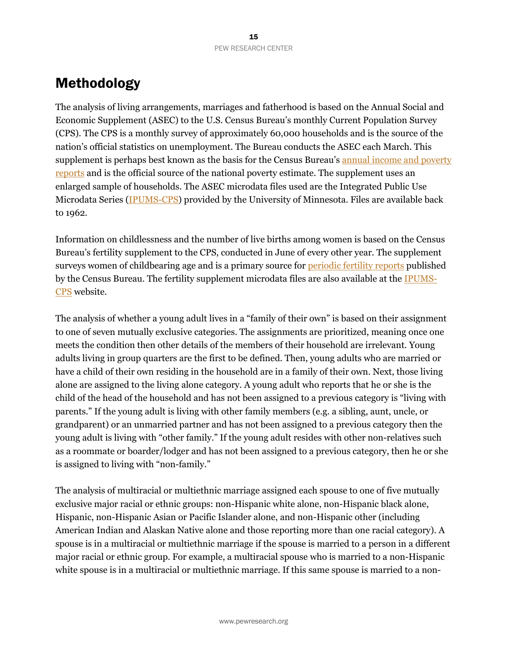# Methodology

The analysis of living arrangements, marriages and fatherhood is based on the Annual Social and Economic Supplement (ASEC) to the U.S. Census Bureau's monthly Current Population Survey (CPS). The CPS is a monthly survey of approximately 60,000 households and is the source of the nation's official statistics on unemployment. The Bureau conducts the ASEC each March. This supplement is perhaps best known as the basis for the Census Bureau's [annual income and poverty](https://www.census.gov/library/publications/2019/demo/p60-266.html) [reports](https://www.census.gov/library/publications/2019/demo/p60-266.html) and is the official source of the national poverty estimate. The supplement uses an enlarged sample of households. The ASEC microdata files used are the Integrated Public Use Microdata Series [\(IPUMS-CPS](https://cps.ipums.org/cps/index.shtml)) provided by the University of Minnesota. Files are available back to 1962.

Information on childlessness and the number of live births among women is based on the Census Bureau's fertility supplement to the CPS, conducted in June of every other year. The supplement surveys women of childbearing age and is a primary source for [periodic fertility reports](https://www.census.gov/data/tables/2018/demo/fertility/women-fertility.html) published by the Census Bureau. The fertility supplement microdata files are also available at the [IPUMS](https://cps.ipums.org/cps/fertility_sample_notes.shtml)-[CPS](https://cps.ipums.org/cps/fertility_sample_notes.shtml) website.

The analysis of whether a young adult lives in a "family of their own" is based on their assignment to one of seven mutually exclusive categories. The assignments are prioritized, meaning once one meets the condition then other details of the members of their household are irrelevant. Young adults living in group quarters are the first to be defined. Then, young adults who are married or have a child of their own residing in the household are in a family of their own. Next, those living alone are assigned to the living alone category. A young adult who reports that he or she is the child of the head of the household and has not been assigned to a previous category is "living with parents." If the young adult is living with other family members (e.g. a sibling, aunt, uncle, or grandparent) or an unmarried partner and has not been assigned to a previous category then the young adult is living with "other family." If the young adult resides with other non-relatives such as a roommate or boarder/lodger and has not been assigned to a previous category, then he or she is assigned to living with "non-family."

The analysis of multiracial or multiethnic marriage assigned each spouse to one of five mutually exclusive major racial or ethnic groups: non-Hispanic white alone, non-Hispanic black alone, Hispanic, non-Hispanic Asian or Pacific Islander alone, and non-Hispanic other (including American Indian and Alaskan Native alone and those reporting more than one racial category). A spouse is in a multiracial or multiethnic marriage if the spouse is married to a person in a different major racial or ethnic group. For example, a multiracial spouse who is married to a non-Hispanic white spouse is in a multiracial or multiethnic marriage. If this same spouse is married to a non